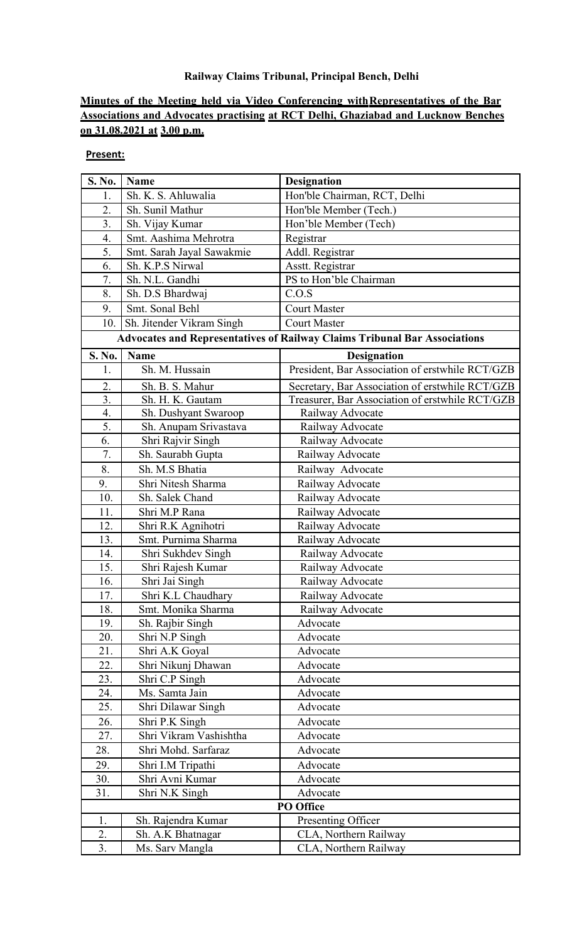## **Railway Claims Tribunal, Principal Bench, Delhi**

## **Minutes of the Meeting held via Video Conferencing with Representatives of the Bar Associations and Advocates practising at RCT Delhi, Ghaziabad and Lucknow Benches on 31.08.2021 at 3.00 p.m.**

## **Present:**

| S. No.                                                                           | Name                      | <b>Designation</b>                              |
|----------------------------------------------------------------------------------|---------------------------|-------------------------------------------------|
| 1.                                                                               | Sh. K. S. Ahluwalia       | Hon'ble Chairman, RCT, Delhi                    |
| 2.                                                                               | Sh. Sunil Mathur          | Hon'ble Member (Tech.)                          |
| 3.                                                                               | Sh. Vijay Kumar           | Hon'ble Member (Tech)                           |
| 4.                                                                               | Smt. Aashima Mehrotra     | Registrar                                       |
| 5.                                                                               | Smt. Sarah Jayal Sawakmie | Addl. Registrar                                 |
| 6.                                                                               | Sh. K.P.S Nirwal          | Asstt. Registrar                                |
| 7.                                                                               | Sh. N.L. Gandhi           | PS to Hon'ble Chairman                          |
| 8.                                                                               | Sh. D.S Bhardwaj          | C.O.S                                           |
| 9.                                                                               | Smt. Sonal Behl           | <b>Court Master</b>                             |
| 10.                                                                              | Sh. Jitender Vikram Singh | <b>Court Master</b>                             |
| <b>Advocates and Representatives of Railway Claims Tribunal Bar Associations</b> |                           |                                                 |
| S. No.                                                                           | Name                      | <b>Designation</b>                              |
| 1.                                                                               | Sh. M. Hussain            | President, Bar Association of erstwhile RCT/GZB |
| 2.                                                                               | Sh. B. S. Mahur           | Secretary, Bar Association of erstwhile RCT/GZB |
| 3.                                                                               | Sh. H. K. Gautam          | Treasurer, Bar Association of erstwhile RCT/GZB |
| 4.                                                                               | Sh. Dushyant Swaroop      | Railway Advocate                                |
| 5.                                                                               | Sh. Anupam Srivastava     | Railway Advocate                                |
| 6.                                                                               | Shri Rajvir Singh         | Railway Advocate                                |
| 7.                                                                               | Sh. Saurabh Gupta         | Railway Advocate                                |
| 8.                                                                               | Sh. M.S Bhatia            | Railway Advocate                                |
| 9.                                                                               | Shri Nitesh Sharma        | Railway Advocate                                |
| 10.                                                                              | Sh. Salek Chand           | Railway Advocate                                |
| 11.                                                                              | Shri M.P Rana             | Railway Advocate                                |
| 12.                                                                              | Shri R.K Agnihotri        | Railway Advocate                                |
| 13.                                                                              | Smt. Purnima Sharma       | Railway Advocate                                |
| 14.                                                                              | Shri Sukhdev Singh        | Railway Advocate                                |
| 15.                                                                              | Shri Rajesh Kumar         | Railway Advocate                                |
| 16.                                                                              | Shri Jai Singh            | Railway Advocate                                |
| 17.                                                                              | Shri K.L Chaudhary        | Railway Advocate                                |
| 18.                                                                              | Smt. Monika Sharma        | Railway Advocate                                |
| 19.                                                                              | Sh. Rajbir Singh          | Advocate                                        |
| 20.                                                                              | Shri N.P Singh            | Advocate                                        |
| 21.                                                                              | Shri A.K Goyal            | Advocate                                        |
| 22.                                                                              | Shri Nikunj Dhawan        | Advocate                                        |
| 23.                                                                              | Shri C.P Singh            | Advocate                                        |
| 24.                                                                              | Ms. Samta Jain            | Advocate                                        |
| 25.                                                                              | Shri Dilawar Singh        | Advocate                                        |
| 26.                                                                              | Shri P.K Singh            | Advocate                                        |
| 27.                                                                              | Shri Vikram Vashishtha    | Advocate                                        |
| 28.                                                                              | Shri Mohd. Sarfaraz       | Advocate                                        |
| 29.                                                                              | Shri I.M Tripathi         | Advocate                                        |
| 30.                                                                              | Shri Avni Kumar           | Advocate                                        |
| 31.                                                                              | Shri N.K Singh            | Advocate                                        |
| PO Office                                                                        |                           |                                                 |
| 1.                                                                               | Sh. Rajendra Kumar        | Presenting Officer                              |
| 2.                                                                               | Sh. A.K Bhatnagar         | CLA, Northern Railway                           |
| 3.                                                                               | Ms. Sarv Mangla           | CLA, Northern Railway                           |